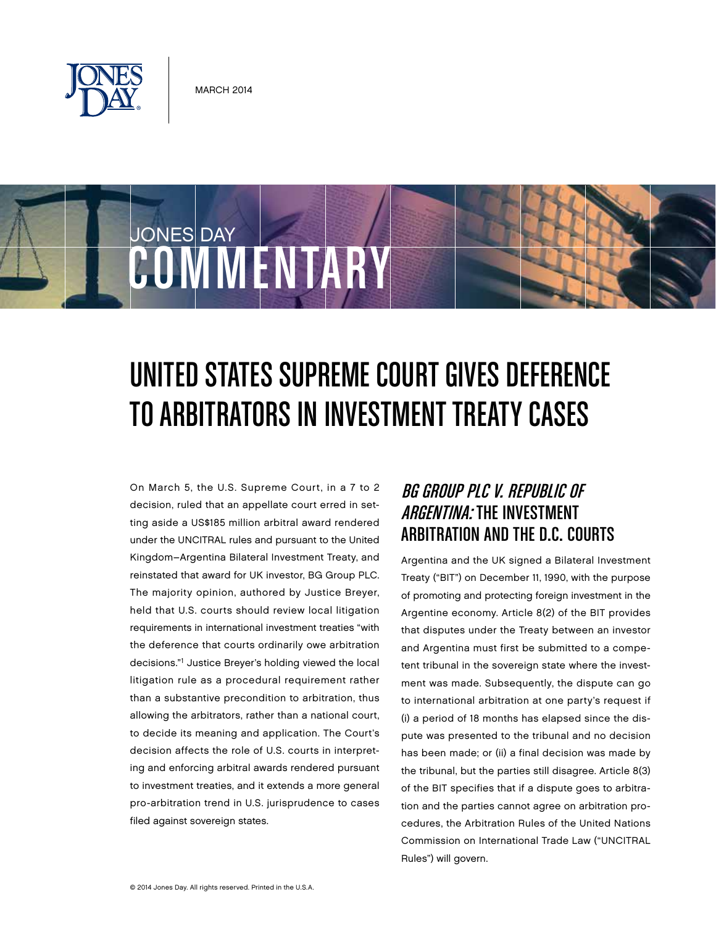

COMMENTARY

JONES DAY

# UNITED STATES SUPREME COURT GIVES DEFERENCE to Arbitrators in Investment Treaty Cases

On March 5, the U.S. Supreme Court, in a 7 to 2 decision, ruled that an appellate court erred in setting aside a US\$185 million arbitral award rendered under the UNCITRAL rules and pursuant to the United Kingdom–Argentina Bilateral Investment Treaty, and reinstated that award for UK investor, BG Group PLC. The majority opinion, authored by Justice Breyer, held that U.S. courts should review local litigation requirements in international investment treaties "with the deference that courts ordinarily owe arbitration decisions."1 Justice Breyer's holding viewed the local litigation rule as a procedural requirement rather than a substantive precondition to arbitration, thus allowing the arbitrators, rather than a national court, to decide its meaning and application. The Court's decision affects the role of U.S. courts in interpreting and enforcing arbitral awards rendered pursuant to investment treaties, and it extends a more general pro-arbitration trend in U.S. jurisprudence to cases filed against sovereign states.

# BG Group PLC v. Republic of **ARGENTINA: THE INVESTMENT** Arbitration and the D.C. Courts

Argentina and the UK signed a Bilateral Investment Treaty ("BIT") on December 11, 1990, with the purpose of promoting and protecting foreign investment in the Argentine economy. Article 8(2) of the BIT provides that disputes under the Treaty between an investor and Argentina must first be submitted to a competent tribunal in the sovereign state where the investment was made. Subsequently, the dispute can go to international arbitration at one party's request if (i) a period of 18 months has elapsed since the dispute was presented to the tribunal and no decision has been made; or (ii) a final decision was made by the tribunal, but the parties still disagree. Article 8(3) of the BIT specifies that if a dispute goes to arbitration and the parties cannot agree on arbitration procedures, the Arbitration Rules of the United Nations Commission on International Trade Law ("UNCITRAL Rules") will govern.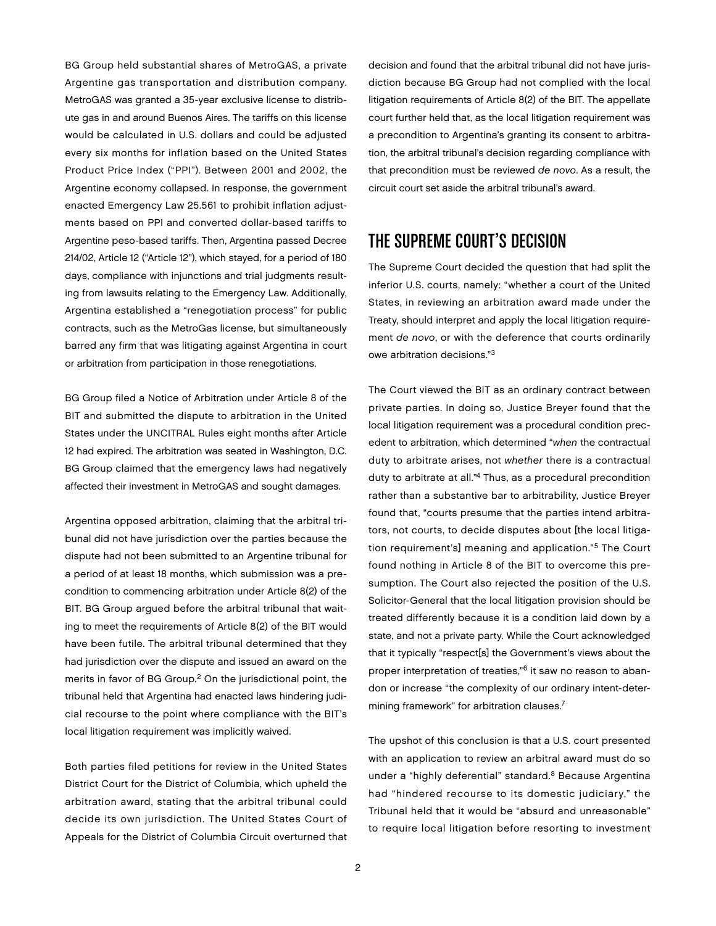BG Group held substantial shares of MetroGAS, a private Argentine gas transportation and distribution company. MetroGAS was granted a 35-year exclusive license to distribute gas in and around Buenos Aires. The tariffs on this license would be calculated in U.S. dollars and could be adjusted every six months for inflation based on the United States Product Price Index ("PPI"). Between 2001 and 2002, the Argentine economy collapsed. In response, the government enacted Emergency Law 25.561 to prohibit inflation adjustments based on PPI and converted dollar-based tariffs to Argentine peso-based tariffs. Then, Argentina passed Decree 214/02, Article 12 ("Article 12"), which stayed, for a period of 180 days, compliance with injunctions and trial judgments resulting from lawsuits relating to the Emergency Law. Additionally, Argentina established a "renegotiation process" for public contracts, such as the MetroGas license, but simultaneously barred any firm that was litigating against Argentina in court or arbitration from participation in those renegotiations.

BG Group filed a Notice of Arbitration under Article 8 of the BIT and submitted the dispute to arbitration in the United States under the UNCITRAL Rules eight months after Article 12 had expired. The arbitration was seated in Washington, D.C. BG Group claimed that the emergency laws had negatively affected their investment in MetroGAS and sought damages.

Argentina opposed arbitration, claiming that the arbitral tribunal did not have jurisdiction over the parties because the dispute had not been submitted to an Argentine tribunal for a period of at least 18 months, which submission was a precondition to commencing arbitration under Article 8(2) of the BIT. BG Group argued before the arbitral tribunal that waiting to meet the requirements of Article 8(2) of the BIT would have been futile. The arbitral tribunal determined that they had jurisdiction over the dispute and issued an award on the merits in favor of BG Group.<sup>2</sup> On the jurisdictional point, the tribunal held that Argentina had enacted laws hindering judicial recourse to the point where compliance with the BIT's local litigation requirement was implicitly waived.

Both parties filed petitions for review in the United States District Court for the District of Columbia, which upheld the arbitration award, stating that the arbitral tribunal could decide its own jurisdiction. The United States Court of Appeals for the District of Columbia Circuit overturned that decision and found that the arbitral tribunal did not have jurisdiction because BG Group had not complied with the local litigation requirements of Article 8(2) of the BIT. The appellate court further held that, as the local litigation requirement was a precondition to Argentina's granting its consent to arbitration, the arbitral tribunal's decision regarding compliance with that precondition must be reviewed *de novo*. As a result, the circuit court set aside the arbitral tribunal's award.

## The Supreme Court's Decision

The Supreme Court decided the question that had split the inferior U.S. courts, namely: "whether a court of the United States, in reviewing an arbitration award made under the Treaty, should interpret and apply the local litigation requirement *de novo*, or with the deference that courts ordinarily owe arbitration decisions."3

The Court viewed the BIT as an ordinary contract between private parties. In doing so, Justice Breyer found that the local litigation requirement was a procedural condition precedent to arbitration, which determined "*when* the contractual duty to arbitrate arises, not *whether* there is a contractual duty to arbitrate at all."4 Thus, as a procedural precondition rather than a substantive bar to arbitrability, Justice Breyer found that, "courts presume that the parties intend arbitrators, not courts, to decide disputes about [the local litigation requirement's] meaning and application."5 The Court found nothing in Article 8 of the BIT to overcome this presumption. The Court also rejected the position of the U.S. Solicitor-General that the local litigation provision should be treated differently because it is a condition laid down by a state, and not a private party. While the Court acknowledged that it typically "respect[s] the Government's views about the proper interpretation of treaties,"6 it saw no reason to abandon or increase "the complexity of our ordinary intent-determining framework" for arbitration clauses.7

The upshot of this conclusion is that a U.S. court presented with an application to review an arbitral award must do so under a "highly deferential" standard.<sup>8</sup> Because Argentina had "hindered recourse to its domestic judiciary," the Tribunal held that it would be "absurd and unreasonable" to require local litigation before resorting to investment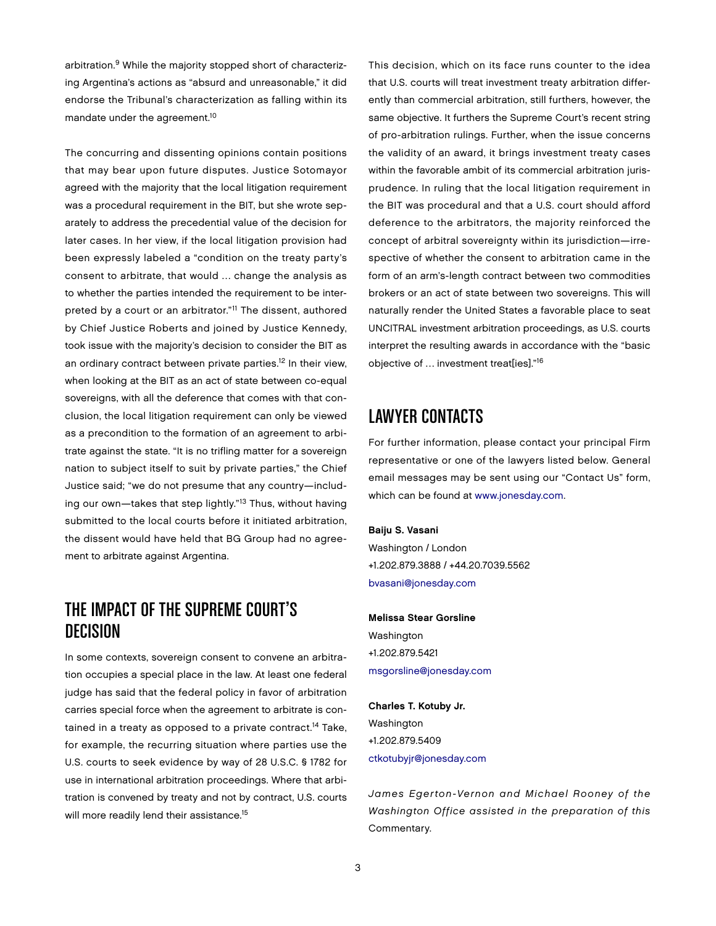arbitration.9 While the majority stopped short of characterizing Argentina's actions as "absurd and unreasonable," it did endorse the Tribunal's characterization as falling within its mandate under the agreement.10

The concurring and dissenting opinions contain positions that may bear upon future disputes. Justice Sotomayor agreed with the majority that the local litigation requirement was a procedural requirement in the BIT, but she wrote separately to address the precedential value of the decision for later cases. In her view, if the local litigation provision had been expressly labeled a "condition on the treaty party's consent to arbitrate, that would … change the analysis as to whether the parties intended the requirement to be interpreted by a court or an arbitrator."11 The dissent, authored by Chief Justice Roberts and joined by Justice Kennedy, took issue with the majority's decision to consider the BIT as an ordinary contract between private parties.<sup>12</sup> In their view, when looking at the BIT as an act of state between co-equal sovereigns, with all the deference that comes with that conclusion, the local litigation requirement can only be viewed as a precondition to the formation of an agreement to arbitrate against the state. "It is no trifling matter for a sovereign nation to subject itself to suit by private parties," the Chief Justice said; "we do not presume that any country—including our own—takes that step lightly."13 Thus, without having submitted to the local courts before it initiated arbitration, the dissent would have held that BG Group had no agreement to arbitrate against Argentina.

## The Impact of the Supreme Court's Decision

In some contexts, sovereign consent to convene an arbitration occupies a special place in the law. At least one federal judge has said that the federal policy in favor of arbitration carries special force when the agreement to arbitrate is contained in a treaty as opposed to a private contract.<sup>14</sup> Take, for example, the recurring situation where parties use the U.S. courts to seek evidence by way of 28 U.S.C. § 1782 for use in international arbitration proceedings. Where that arbitration is convened by treaty and not by contract, U.S. courts will more readily lend their assistance.<sup>15</sup>

This decision, which on its face runs counter to the idea that U.S. courts will treat investment treaty arbitration differently than commercial arbitration, still furthers, however, the same objective. It furthers the Supreme Court's recent string of pro-arbitration rulings. Further, when the issue concerns the validity of an award, it brings investment treaty cases within the favorable ambit of its commercial arbitration jurisprudence. In ruling that the local litigation requirement in the BIT was procedural and that a U.S. court should afford deference to the arbitrators, the majority reinforced the concept of arbitral sovereignty within its jurisdiction—irrespective of whether the consent to arbitration came in the form of an arm's-length contract between two commodities brokers or an act of state between two sovereigns. This will naturally render the United States a favorable place to seat UNCITRAL investment arbitration proceedings, as U.S. courts interpret the resulting awards in accordance with the "basic objective of … investment treat[ies]."16

#### Lawyer Contacts

For further information, please contact your principal Firm representative or one of the lawyers listed below. General email messages may be sent using our "Contact Us" form, which can be found at [www.jonesday.com.](http://www.jonesday.com)

#### Baiju S. Vasani

Washington / London +1.202.879.3888 / +44.20.7039.5562 [bvasani@jonesday.com](mailto:bvasani@jonesday.com)

Melissa Stear Gorsline Washington +1.202.879.5421 [msgorsline@jonesday.com](mailto:msgorsline@jonesday.com)

Charles T. Kotuby Jr. Washington +1.202.879.5409 [ctkotubyjr@jonesday.com](mailto:ctkotubyjr@jonesday.com)

*James Egerton-Vernon and Michael Rooney of the Washington Office assisted in the preparation of this*  Commentary.